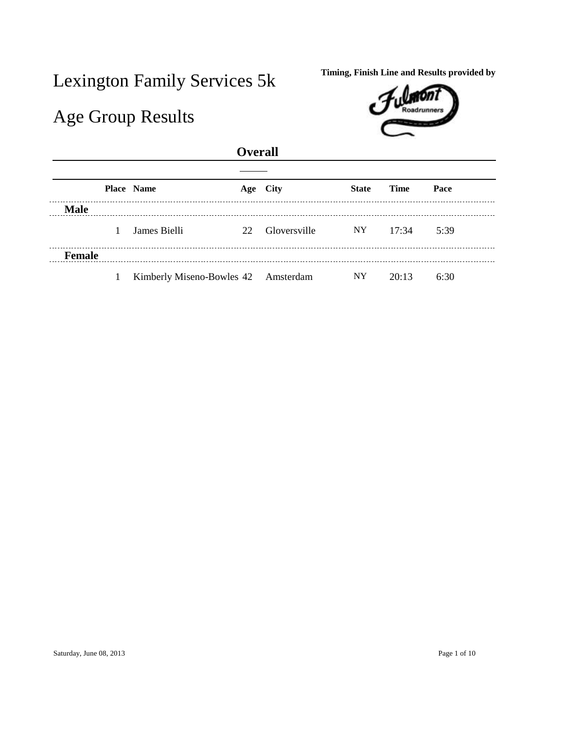## Lexington Family Services 5k Timing, Finish Line and Results provided by

## Age Group Results



## **Overall**

|             | <b>Place Name</b>                   | Age City     | <b>State</b> | <b>Time</b> | Pace |
|-------------|-------------------------------------|--------------|--------------|-------------|------|
| <b>Male</b> |                                     |              |              |             |      |
|             | James Bielli<br>22                  | Gloversville | NY -         | 17:34       | 5:39 |
| Female      |                                     |              |              |             |      |
|             | Kimberly Miseno-Bowles 42 Amsterdam |              | NY.          | 20:13       | 6:30 |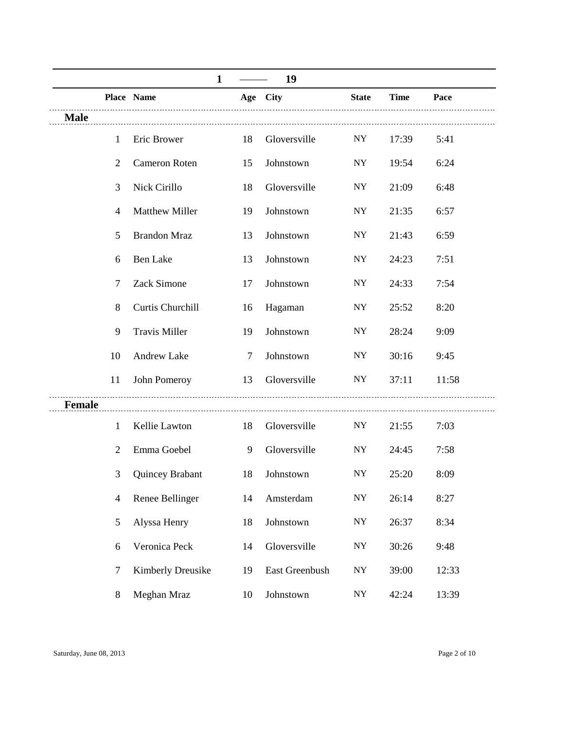|               |                |                       | 1 |                | 19             |                          |             |       |
|---------------|----------------|-----------------------|---|----------------|----------------|--------------------------|-------------|-------|
|               |                | Place Name            |   |                | Age City       | <b>State</b>             | <b>Time</b> | Pace  |
| <b>Male</b>   |                |                       |   |                |                |                          |             |       |
|               | 1              | Eric Brower           |   | 18             | Gloversville   | NY                       | 17:39       | 5:41  |
|               | $\overline{2}$ | Cameron Roten         |   | 15             | Johnstown      | <b>NY</b>                | 19:54       | 6:24  |
|               | 3              | Nick Cirillo          |   | 18             | Gloversville   | <b>NY</b>                | 21:09       | 6:48  |
|               | 4              | <b>Matthew Miller</b> |   | 19             | Johnstown      | <b>NY</b>                | 21:35       | 6:57  |
|               | 5              | <b>Brandon Mraz</b>   |   | 13             | Johnstown      | <b>NY</b>                | 21:43       | 6:59  |
|               | 6              | <b>Ben Lake</b>       |   | 13             | Johnstown      | <b>NY</b>                | 24:23       | 7:51  |
|               | 7              | Zack Simone           |   | 17             | Johnstown      | <b>NY</b>                | 24:33       | 7:54  |
|               | 8              | Curtis Churchill      |   | 16             | Hagaman        | <b>NY</b>                | 25:52       | 8:20  |
|               | 9              | <b>Travis Miller</b>  |   | 19             | Johnstown      | ${\rm NY}$               | 28:24       | 9:09  |
|               | 10             | Andrew Lake           |   | $\overline{7}$ | Johnstown      | <b>NY</b>                | 30:16       | 9:45  |
|               | 11             | John Pomeroy          |   | 13             | Gloversville   | NY.                      | 37:11       | 11:58 |
| <b>Female</b> |                |                       |   |                |                |                          |             |       |
|               | 1              | Kellie Lawton         |   | 18             | Gloversville   | NY.                      | 21:55       | 7:03  |
|               | $\overline{2}$ | Emma Goebel           |   | 9              | Gloversville   | <b>NY</b>                | 24:45       | 7:58  |
|               | 3              | Quincey Brabant       |   | 18             | Johnstown      | <b>NY</b>                | 25:20       | 8:09  |
|               | 4              | Renee Bellinger       |   | 14             | Amsterdam      | ${\rm NY}$               | 26:14       | 8:27  |
|               | 5              | Alyssa Henry          |   | 18             | Johnstown      | $\ensuremath{\text{NY}}$ | 26:37       | 8:34  |
|               | 6              | Veronica Peck         |   | 14             | Gloversville   | $\ensuremath{\text{NY}}$ | 30:26       | 9:48  |
|               | $\tau$         | Kimberly Dreusike     |   | 19             | East Greenbush | $\bold{NY}$              | 39:00       | 12:33 |
|               | 8              | Meghan Mraz           |   | 10             | Johnstown      | $\bold{NY}$              | 42:24       | 13:39 |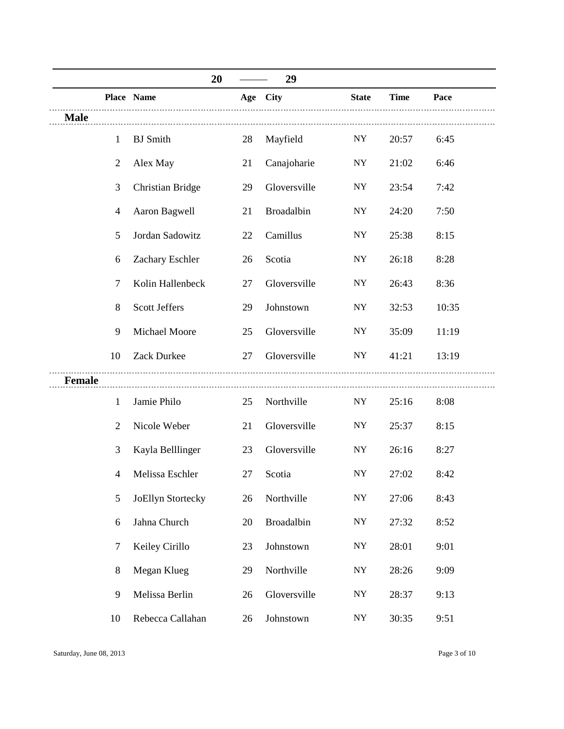|               |                | 20                      |    | 29           |                          |             |       |
|---------------|----------------|-------------------------|----|--------------|--------------------------|-------------|-------|
|               |                | Place Name              |    | Age City     | <b>State</b>             | <b>Time</b> | Pace  |
| <b>Male</b>   |                |                         |    |              |                          |             |       |
|               | 1              | <b>BJ</b> Smith         | 28 | Mayfield     | <b>NY</b>                | 20:57       | 6:45  |
|               | $\overline{2}$ | Alex May                | 21 | Canajoharie  | $\ensuremath{\text{NY}}$ | 21:02       | 6:46  |
|               | 3              | <b>Christian Bridge</b> | 29 | Gloversville | ${\rm NY}$               | 23:54       | 7:42  |
|               | $\overline{4}$ | Aaron Bagwell           | 21 | Broadalbin   | <b>NY</b>                | 24:20       | 7:50  |
|               | 5              | Jordan Sadowitz         | 22 | Camillus     | <b>NY</b>                | 25:38       | 8:15  |
|               | 6              | Zachary Eschler         | 26 | Scotia       | <b>NY</b>                | 26:18       | 8:28  |
|               | $\tau$         | Kolin Hallenbeck        | 27 | Gloversville | <b>NY</b>                | 26:43       | 8:36  |
|               | 8              | <b>Scott Jeffers</b>    | 29 | Johnstown    | <b>NY</b>                | 32:53       | 10:35 |
|               | 9              | <b>Michael Moore</b>    | 25 | Gloversville | <b>NY</b>                | 35:09       | 11:19 |
|               | 10             | <b>Zack Durkee</b>      | 27 | Gloversville | <b>NY</b>                | 41:21       | 13:19 |
| <b>Female</b> |                |                         |    |              |                          |             |       |
|               | 1              | Jamie Philo             | 25 | Northville   | <b>NY</b>                | 25:16       | 8:08  |
|               | $\overline{2}$ | Nicole Weber            | 21 | Gloversville | <b>NY</b>                | 25:37       | 8:15  |
|               | 3              | Kayla Belllinger        | 23 | Gloversville | ${\rm NY}$               | 26:16       | 8:27  |
|               | 4              | Melissa Eschler         | 27 | Scotia       | <b>NY</b>                | 27:02       | 8:42  |
|               | 5              | JoEllyn Stortecky       | 26 | Northville   | ${\rm NY}$               | 27:06       | 8:43  |
|               | 6              | Jahna Church            | 20 | Broadalbin   | <b>NY</b>                | 27:32       | 8:52  |
|               | $\tau$         | Keiley Cirillo          | 23 | Johnstown    | $\ensuremath{\text{NY}}$ | 28:01       | 9:01  |
|               | 8              | Megan Klueg             | 29 | Northville   | <b>NY</b>                | 28:26       | 9:09  |
|               | 9              | Melissa Berlin          | 26 | Gloversville | <b>NY</b>                | 28:37       | 9:13  |
|               | 10             | Rebecca Callahan        | 26 | Johnstown    | <b>NY</b>                | 30:35       | 9:51  |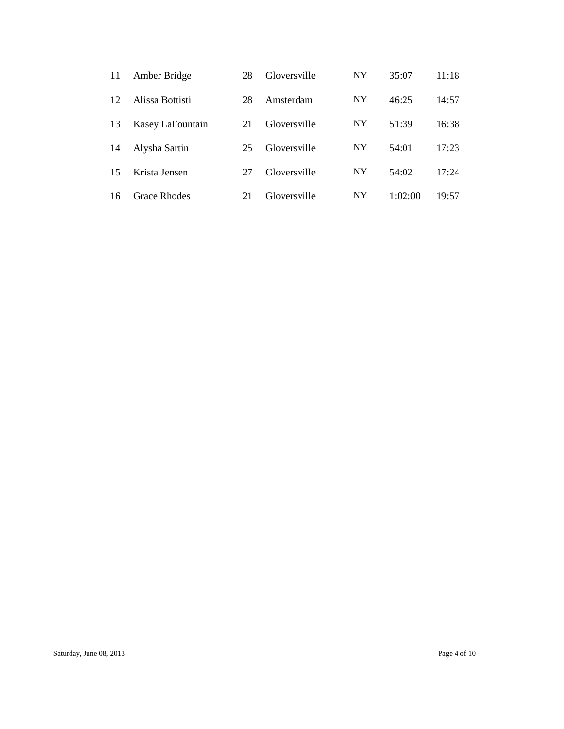| 11 | Amber Bridge        | 28 | Gloversville | <b>NY</b> | 35:07   | 11:18 |
|----|---------------------|----|--------------|-----------|---------|-------|
| 12 | Alissa Bottisti     | 28 | Amsterdam    | NY        | 46:25   | 14:57 |
| 13 | Kasey LaFountain    | 21 | Gloversville | <b>NY</b> | 51:39   | 16:38 |
| 14 | Alysha Sartin       | 25 | Gloversville | <b>NY</b> | 54:01   | 17:23 |
| 15 | Krista Jensen       | 27 | Gloversville | NY        | 54:02   | 17:24 |
| 16 | <b>Grace Rhodes</b> | 21 | Gloversville | <b>NY</b> | 1:02:00 | 19:57 |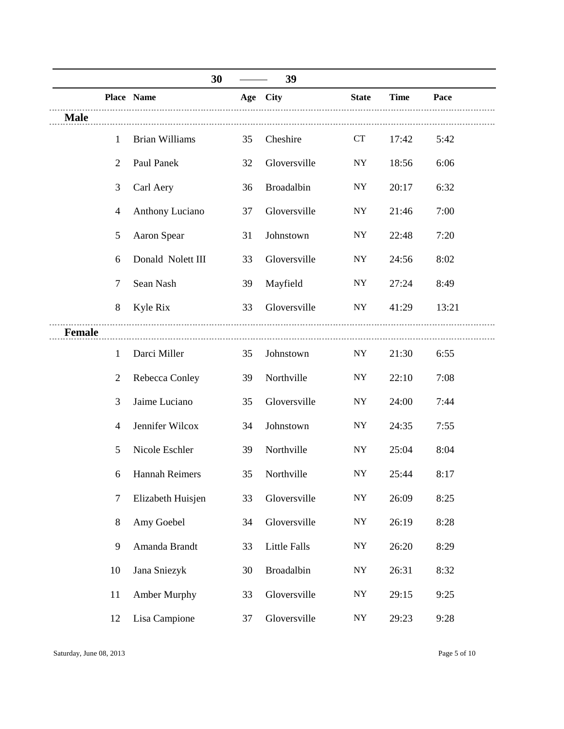|               |                | 30                    |    | 39           |              |             |       |
|---------------|----------------|-----------------------|----|--------------|--------------|-------------|-------|
|               |                | Place Name            |    | Age City     | <b>State</b> | <b>Time</b> | Pace  |
| <b>Male</b>   |                |                       |    |              |              |             |       |
|               | $\mathbf{1}$   | <b>Brian Williams</b> | 35 | Cheshire     | <b>CT</b>    | 17:42       | 5:42  |
|               | $\overline{2}$ | Paul Panek            | 32 | Gloversville | <b>NY</b>    | 18:56       | 6:06  |
|               | 3              | Carl Aery             | 36 | Broadalbin   | <b>NY</b>    | 20:17       | 6:32  |
|               | 4              | Anthony Luciano       | 37 | Gloversville | <b>NY</b>    | 21:46       | 7:00  |
|               | 5              | Aaron Spear           | 31 | Johnstown    | <b>NY</b>    | 22:48       | 7:20  |
|               | 6              | Donald Nolett III     | 33 | Gloversville | <b>NY</b>    | 24:56       | 8:02  |
|               | 7              | Sean Nash             | 39 | Mayfield     | NY           | 27:24       | 8:49  |
|               | $8\,$          | Kyle Rix              | 33 | Gloversville | <b>NY</b>    | 41:29       | 13:21 |
| <b>Female</b> |                |                       |    |              |              |             |       |
|               | $\mathbf{1}$   | Darci Miller          | 35 | Johnstown    | <b>NY</b>    | 21:30       | 6:55  |
|               | $\overline{2}$ | Rebecca Conley        | 39 | Northville   | ${\rm NY}$   | 22:10       | 7:08  |
|               | 3              | Jaime Luciano         | 35 | Gloversville | <b>NY</b>    | 24:00       | 7:44  |
|               | 4              | Jennifer Wilcox       | 34 | Johnstown    | <b>NY</b>    | 24:35       | 7:55  |
|               | 5              | Nicole Eschler        | 39 | Northville   | ${\rm NY}$   | 25:04       | 8:04  |
|               | 6              | <b>Hannah Reimers</b> | 35 | Northville   | <b>NY</b>    | 25:44       | 8:17  |
|               | 7              | Elizabeth Huisjen     | 33 | Gloversville | ${\bf NY}$   | 26:09       | 8:25  |
|               | 8              | Amy Goebel            | 34 | Gloversville | ${\rm NY}$   | 26:19       | 8:28  |
|               | 9              | Amanda Brandt         | 33 | Little Falls | ${\bf NY}$   | 26:20       | 8:29  |
|               | 10             | Jana Sniezyk          | 30 | Broadalbin   | ${\bf NY}$   | 26:31       | 8:32  |
|               | 11             | <b>Amber Murphy</b>   | 33 | Gloversville | ${\rm NY}$   | 29:15       | 9:25  |
|               | 12             | Lisa Campione         | 37 | Gloversville | ${\bf NY}$   | 29:23       | 9:28  |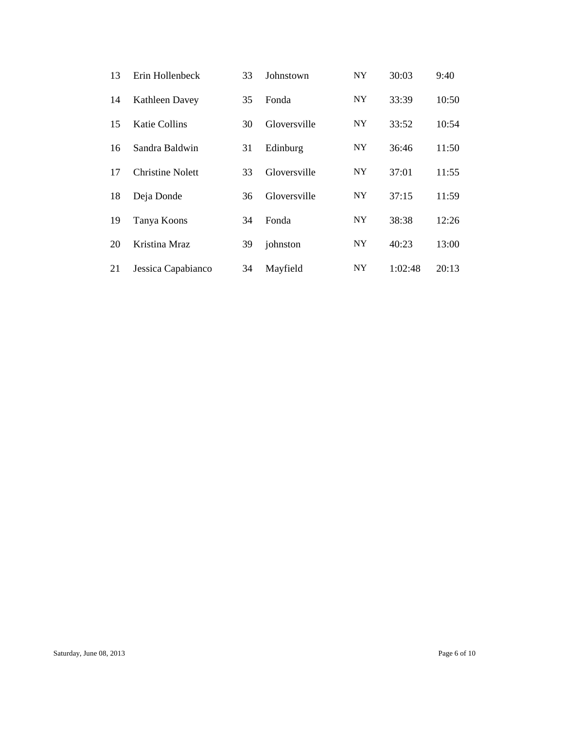| 13 | Erin Hollenbeck         | 33 | Johnstown    | <b>NY</b> | 30:03   | 9:40  |
|----|-------------------------|----|--------------|-----------|---------|-------|
| 14 | <b>Kathleen Davey</b>   | 35 | Fonda        | <b>NY</b> | 33:39   | 10:50 |
| 15 | <b>Katie Collins</b>    | 30 | Gloversville | NY.       | 33:52   | 10:54 |
| 16 | Sandra Baldwin          | 31 | Edinburg     | <b>NY</b> | 36:46   | 11:50 |
| 17 | <b>Christine Nolett</b> | 33 | Gloversville | NY.       | 37:01   | 11:55 |
| 18 | Deja Donde              | 36 | Gloversville | NY        | 37:15   | 11:59 |
| 19 | Tanya Koons             | 34 | Fonda        | <b>NY</b> | 38:38   | 12:26 |
| 20 | Kristina Mraz           | 39 | johnston     | NY.       | 40:23   | 13:00 |
| 21 | Jessica Capabianco      | 34 | Mayfield     | <b>NY</b> | 1:02:48 | 20:13 |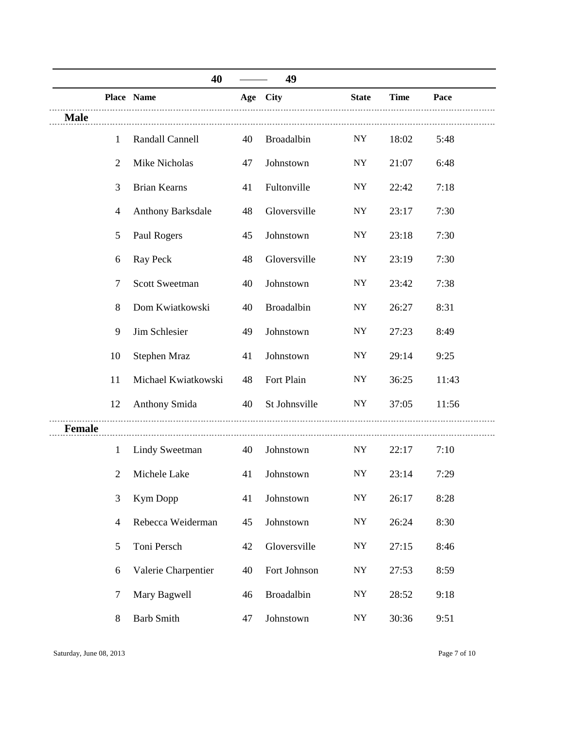|             |                          | 40                    |    | 49            |                          |             |       |
|-------------|--------------------------|-----------------------|----|---------------|--------------------------|-------------|-------|
|             |                          | Place Name            |    | Age City      | <b>State</b>             | <b>Time</b> | Pace  |
| <b>Male</b> |                          |                       |    |               |                          |             |       |
|             | 1                        | Randall Cannell       | 40 | Broadalbin    | <b>NY</b>                | 18:02       | 5:48  |
|             | $\overline{2}$           | Mike Nicholas         | 47 | Johnstown     | <b>NY</b>                | 21:07       | 6:48  |
|             | 3                        | <b>Brian Kearns</b>   | 41 | Fultonville   | <b>NY</b>                | 22:42       | 7:18  |
|             | 4                        | Anthony Barksdale     | 48 | Gloversville  | <b>NY</b>                | 23:17       | 7:30  |
|             | 5                        | Paul Rogers           | 45 | Johnstown     | <b>NY</b>                | 23:18       | 7:30  |
|             | 6                        | Ray Peck              | 48 | Gloversville  | <b>NY</b>                | 23:19       | 7:30  |
|             | $\tau$                   | <b>Scott Sweetman</b> | 40 | Johnstown     | <b>NY</b>                | 23:42       | 7:38  |
|             | 8                        | Dom Kwiatkowski       | 40 | Broadalbin    | ${\rm NY}$               | 26:27       | 8:31  |
|             | 9                        | Jim Schlesier         | 49 | Johnstown     | ${\rm NY}$               | 27:23       | 8:49  |
|             | 10                       | Stephen Mraz          | 41 | Johnstown     | <b>NY</b>                | 29:14       | 9:25  |
|             | 11                       | Michael Kwiatkowski   | 48 | Fort Plain    | NY                       | 36:25       | 11:43 |
|             | 12                       | Anthony Smida         | 40 | St Johnsville | NY                       | 37:05       | 11:56 |
| Female      |                          |                       |    |               |                          |             |       |
|             | $\mathbf{1}$             | <b>Lindy Sweetman</b> | 40 | Johnstown     | NY                       | 22:17       | 7:10  |
|             | $\overline{2}$           | Michele Lake          | 41 | Johnstown     | <b>NY</b>                | 23:14       | 7:29  |
|             | 3                        | <b>Kym Dopp</b>       | 41 | Johnstown     | ${\rm NY}$               | 26:17       | 8:28  |
|             | $\overline{\mathcal{A}}$ | Rebecca Weiderman     | 45 | Johnstown     | ${\rm NY}$               | 26:24       | 8:30  |
|             | 5                        | Toni Persch           | 42 | Gloversville  | ${\bf NY}$               | 27:15       | 8:46  |
|             | 6                        | Valerie Charpentier   | 40 | Fort Johnson  | $\ensuremath{\text{NY}}$ | 27:53       | 8:59  |
|             | $\tau$                   | Mary Bagwell          | 46 | Broadalbin    | ${\rm NY}$               | 28:52       | 9:18  |
|             | 8                        | <b>Barb Smith</b>     | 47 | Johnstown     | ${\rm NY}$               | 30:36       | 9:51  |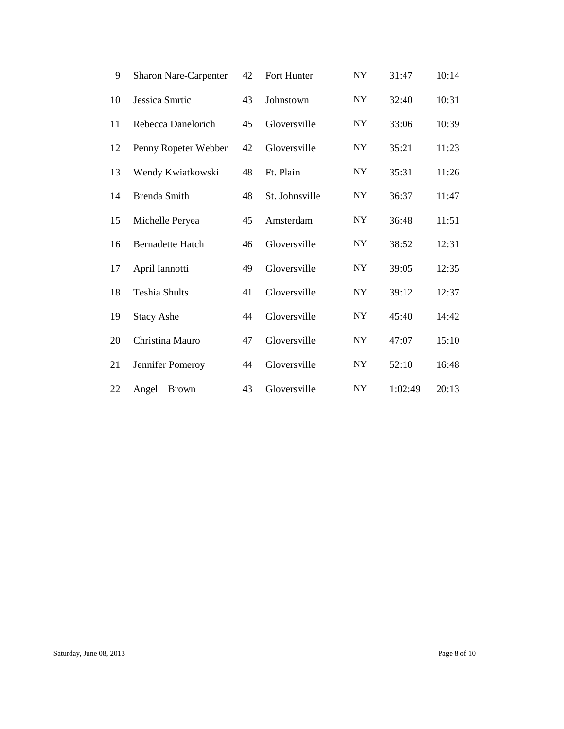| 9  | <b>Sharon Nare-Carpenter</b> | 42 | Fort Hunter    | <b>NY</b>  | 31:47   | 10:14 |
|----|------------------------------|----|----------------|------------|---------|-------|
| 10 | Jessica Smrtic               | 43 | Johnstown      | <b>NY</b>  | 32:40   | 10:31 |
| 11 | Rebecca Danelorich           | 45 | Gloversville   | ${\rm NY}$ | 33:06   | 10:39 |
| 12 | Penny Ropeter Webber         | 42 | Gloversville   | ${\rm NY}$ | 35:21   | 11:23 |
| 13 | Wendy Kwiatkowski            | 48 | Ft. Plain      | ${\rm NY}$ | 35:31   | 11:26 |
| 14 | <b>Brenda Smith</b>          | 48 | St. Johnsville | <b>NY</b>  | 36:37   | 11:47 |
| 15 | Michelle Peryea              | 45 | Amsterdam      | ${\rm NY}$ | 36:48   | 11:51 |
| 16 | <b>Bernadette Hatch</b>      | 46 | Gloversville   | <b>NY</b>  | 38:52   | 12:31 |
| 17 | April Iannotti               | 49 | Gloversville   | ${\rm NY}$ | 39:05   | 12:35 |
| 18 | <b>Teshia Shults</b>         | 41 | Gloversville   | <b>NY</b>  | 39:12   | 12:37 |
| 19 | <b>Stacy Ashe</b>            | 44 | Gloversville   | <b>NY</b>  | 45:40   | 14:42 |
| 20 | Christina Mauro              | 47 | Gloversville   | ${\rm NY}$ | 47:07   | 15:10 |
| 21 | Jennifer Pomeroy             | 44 | Gloversville   | <b>NY</b>  | 52:10   | 16:48 |
| 22 | Angel<br><b>Brown</b>        | 43 | Gloversville   | <b>NY</b>  | 1:02:49 | 20:13 |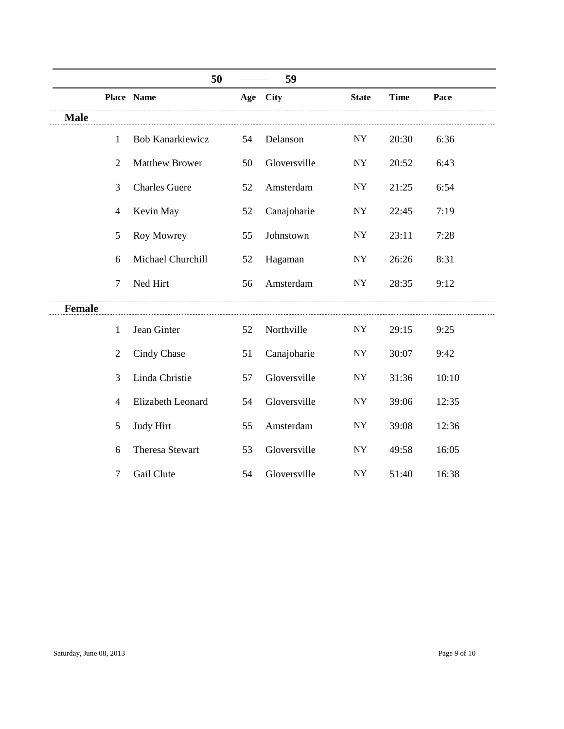|               |                | 50                      |    | 59           |              |             |       |
|---------------|----------------|-------------------------|----|--------------|--------------|-------------|-------|
|               |                | Place Name              |    | Age City     | <b>State</b> | <b>Time</b> | Pace  |
| <b>Male</b>   |                |                         |    |              |              |             |       |
|               | 1              | <b>Bob Kanarkiewicz</b> | 54 | Delanson     | NY           | 20:30       | 6:36  |
|               | $\overline{2}$ | <b>Matthew Brower</b>   | 50 | Gloversville | <b>NY</b>    | 20:52       | 6:43  |
|               | 3              | <b>Charles Guere</b>    | 52 | Amsterdam    | <b>NY</b>    | 21:25       | 6:54  |
|               | $\overline{4}$ | Kevin May               | 52 | Canajoharie  | <b>NY</b>    | 22:45       | 7:19  |
|               | 5              | Roy Mowrey              | 55 | Johnstown    | <b>NY</b>    | 23:11       | 7:28  |
|               | 6              | Michael Churchill       | 52 | Hagaman      | <b>NY</b>    | 26:26       | 8:31  |
|               | $\tau$         | Ned Hirt                | 56 | Amsterdam    | NY.          | 28:35       | 9:12  |
| <b>Female</b> |                |                         |    |              |              |             |       |
|               | 1              | Jean Ginter             | 52 | Northville   | NY           | 29:15       | 9:25  |
|               | $\overline{2}$ | Cindy Chase             | 51 | Canajoharie  | ${\rm NY}$   | 30:07       | 9:42  |
|               | 3              | Linda Christie          | 57 | Gloversville | ${\rm NY}$   | 31:36       | 10:10 |
|               | $\overline{4}$ | Elizabeth Leonard       | 54 | Gloversville | <b>NY</b>    | 39:06       | 12:35 |
|               | 5              | Judy Hirt               | 55 | Amsterdam    | <b>NY</b>    | 39:08       | 12:36 |
|               | 6              | Theresa Stewart         | 53 | Gloversville | NY           | 49:58       | 16:05 |
|               | 7              | Gail Clute              | 54 | Gloversville | NY           | 51:40       | 16:38 |